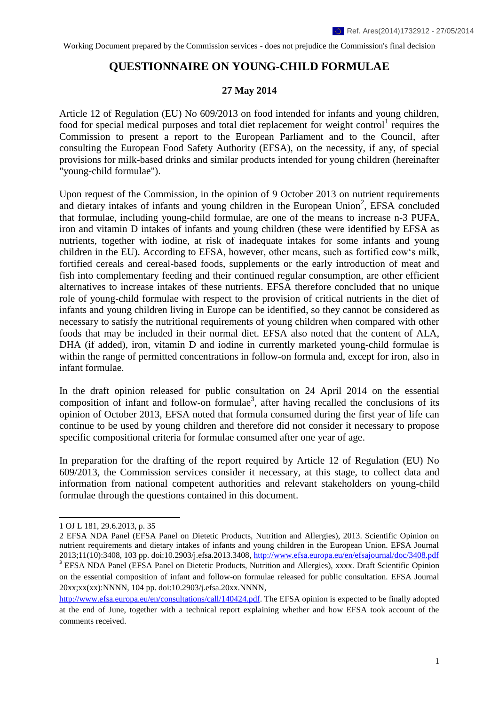# **QUESTIONNAIRE ON YOUNG-CHILD FORMULAE**

#### **27 May 2014**

Article 12 of Regulation (EU) No 609/2013 on food intended for infants and young children, food for special medical purposes and total diet replacement for weight control<sup>1</sup> requires the Commission to present a report to the European Parliament and to the Council, after consulting the European Food Safety Authority (EFSA), on the necessity, if any, of special provisions for milk-based drinks and similar products intended for young children (hereinafter "young-child formulae").

Upon request of the Commission, in the opinion of 9 October 2013 on nutrient requirements and dietary intakes of infants and young children in the European Union<sup>2</sup>, EFSA concluded that formulae, including young-child formulae, are one of the means to increase n-3 PUFA, iron and vitamin D intakes of infants and young children (these were identified by EFSA as nutrients, together with iodine, at risk of inadequate intakes for some infants and young children in the EU). According to EFSA, however, other means, such as fortified cow's milk, fortified cereals and cereal-based foods, supplements or the early introduction of meat and fish into complementary feeding and their continued regular consumption, are other efficient alternatives to increase intakes of these nutrients. EFSA therefore concluded that no unique role of young-child formulae with respect to the provision of critical nutrients in the diet of infants and young children living in Europe can be identified, so they cannot be considered as necessary to satisfy the nutritional requirements of young children when compared with other foods that may be included in their normal diet. EFSA also noted that the content of ALA, DHA (if added), iron, vitamin D and iodine in currently marketed young-child formulae is within the range of permitted concentrations in follow-on formula and, except for iron, also in infant formulae.

In the draft opinion released for public consultation on 24 April 2014 on the essential composition of infant and follow-on formulae<sup>3</sup>, after having recalled the conclusions of its opinion of October 2013, EFSA noted that formula consumed during the first year of life can continue to be used by young children and therefore did not consider it necessary to propose specific compositional criteria for formulae consumed after one year of age.

In preparation for the drafting of the report required by Article 12 of Regulation (EU) No 609/2013, the Commission services consider it necessary, at this stage, to collect data and information from national competent authorities and relevant stakeholders on young-child formulae through the questions contained in this document.

**.** 

<sup>1</sup> OJ L 181, 29.6.2013, p. 35

<sup>2</sup> EFSA NDA Panel (EFSA Panel on Dietetic Products, Nutrition and Allergies), 2013. Scientific Opinion on nutrient requirements and dietary intakes of infants and young children in the European Union. EFSA Journal 2013;11(10):3408, 103 pp. doi:10.2903/j.efsa.2013.3408,<http://www.efsa.europa.eu/en/efsajournal/doc/3408.pdf> <sup>3</sup> EFSA NDA Panel (EFSA Panel on Dietetic Products, Nutrition and Allergies), xxxx. Draft Scientific Opinion on the essential composition of infant and follow-on formulae released for public consultation. EFSA Journal 20xx;xx(xx):NNNN, 104 pp. doi:10.2903/j.efsa.20xx.NNNN,

[http://www.efsa.europa.eu/en/consultations/call/140424.pdf.](http://www.efsa.europa.eu/en/consultations/call/140424.pdf) The EFSA opinion is expected to be finally adopted at the end of June, together with a technical report explaining whether and how EFSA took account of the comments received.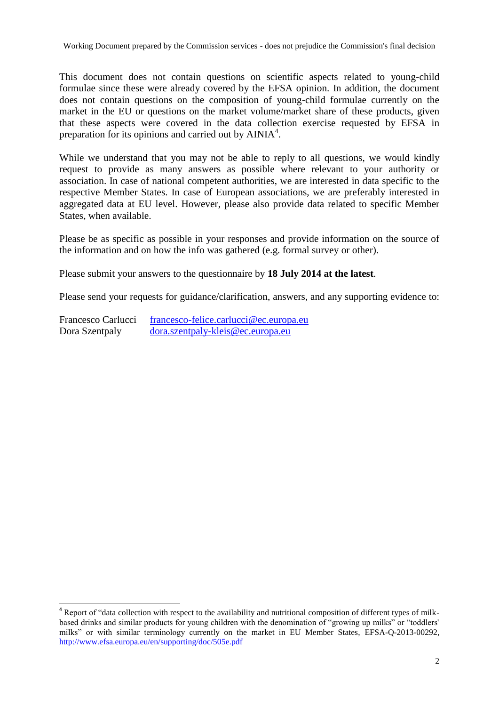This document does not contain questions on scientific aspects related to young-child formulae since these were already covered by the EFSA opinion. In addition, the document does not contain questions on the composition of young-child formulae currently on the market in the EU or questions on the market volume/market share of these products, given that these aspects were covered in the data collection exercise requested by EFSA in preparation for its opinions and carried out by  $AINIA<sup>4</sup>$ .

While we understand that you may not be able to reply to all questions, we would kindly request to provide as many answers as possible where relevant to your authority or association. In case of national competent authorities, we are interested in data specific to the respective Member States. In case of European associations, we are preferably interested in aggregated data at EU level. However, please also provide data related to specific Member States, when available.

Please be as specific as possible in your responses and provide information on the source of the information and on how the info was gathered (e.g. formal survey or other).

Please submit your answers to the questionnaire by **18 July 2014 at the latest**.

Please send your requests for guidance/clarification, answers, and any supporting evidence to:

Francesco Carlucci [francesco-felice.carlucci@ec.europa.eu](mailto:francesco-felice.carlucci@ec.europa.eu) Dora Szentpaly [dora.szentpaly-kleis@ec.europa.eu](mailto:dora.szentpaly-kleis@ec.europa.eu)

1

<sup>&</sup>lt;sup>4</sup> Report of "data collection with respect to the availability and nutritional composition of different types of milkbased drinks and similar products for young children with the denomination of "growing up milks" or "toddlers' milks" or with similar terminology currently on the market in EU Member States, EFSA-Q-2013-00292, <http://www.efsa.europa.eu/en/supporting/doc/505e.pdf>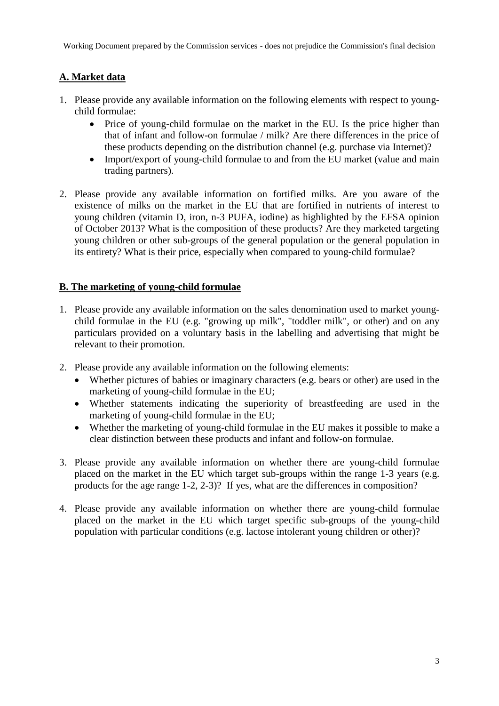## **A. Market data**

- 1. Please provide any available information on the following elements with respect to youngchild formulae:
	- Price of young-child formulae on the market in the EU. Is the price higher than that of infant and follow-on formulae / milk? Are there differences in the price of these products depending on the distribution channel (e.g. purchase via Internet)?
	- Import/export of young-child formulae to and from the EU market (value and main trading partners).
- 2. Please provide any available information on fortified milks. Are you aware of the existence of milks on the market in the EU that are fortified in nutrients of interest to young children (vitamin D, iron, n-3 PUFA, iodine) as highlighted by the EFSA opinion of October 2013? What is the composition of these products? Are they marketed targeting young children or other sub-groups of the general population or the general population in its entirety? What is their price, especially when compared to young-child formulae?

### **B. The marketing of young-child formulae**

- 1. Please provide any available information on the sales denomination used to market youngchild formulae in the EU (e.g. "growing up milk", "toddler milk", or other) and on any particulars provided on a voluntary basis in the labelling and advertising that might be relevant to their promotion.
- 2. Please provide any available information on the following elements:
	- Whether pictures of babies or imaginary characters (e.g. bears or other) are used in the marketing of young-child formulae in the EU;
	- Whether statements indicating the superiority of breastfeeding are used in the marketing of young-child formulae in the EU;
	- Whether the marketing of young-child formulae in the EU makes it possible to make a clear distinction between these products and infant and follow-on formulae.
- 3. Please provide any available information on whether there are young-child formulae placed on the market in the EU which target sub-groups within the range 1-3 years (e.g. products for the age range 1-2, 2-3)? If yes, what are the differences in composition?
- 4. Please provide any available information on whether there are young-child formulae placed on the market in the EU which target specific sub-groups of the young-child population with particular conditions (e.g. lactose intolerant young children or other)?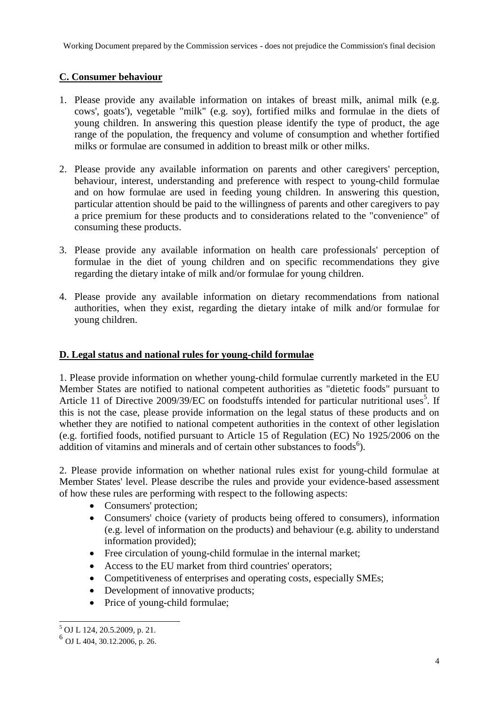### **C. Consumer behaviour**

- 1. Please provide any available information on intakes of breast milk, animal milk (e.g. cows', goats'), vegetable "milk" (e.g. soy), fortified milks and formulae in the diets of young children. In answering this question please identify the type of product, the age range of the population, the frequency and volume of consumption and whether fortified milks or formulae are consumed in addition to breast milk or other milks.
- 2. Please provide any available information on parents and other caregivers' perception, behaviour, interest, understanding and preference with respect to young-child formulae and on how formulae are used in feeding young children. In answering this question, particular attention should be paid to the willingness of parents and other caregivers to pay a price premium for these products and to considerations related to the "convenience" of consuming these products.
- 3. Please provide any available information on health care professionals' perception of formulae in the diet of young children and on specific recommendations they give regarding the dietary intake of milk and/or formulae for young children.
- 4. Please provide any available information on dietary recommendations from national authorities, when they exist, regarding the dietary intake of milk and/or formulae for young children.

#### **D. Legal status and national rules for young-child formulae**

1. Please provide information on whether young-child formulae currently marketed in the EU Member States are notified to national competent authorities as "dietetic foods" pursuant to Article 11 of Directive 2009/39/EC on foodstuffs intended for particular nutritional uses<sup>5</sup>. If this is not the case, please provide information on the legal status of these products and on whether they are notified to national competent authorities in the context of other legislation (e.g. fortified foods, notified pursuant to Article 15 of Regulation (EC) No 1925/2006 on the addition of vitamins and minerals and of certain other substances to foods<sup>6</sup>).

2. Please provide information on whether national rules exist for young-child formulae at Member States' level. Please describe the rules and provide your evidence-based assessment of how these rules are performing with respect to the following aspects:

- Consumers' protection;
- Consumers' choice (variety of products being offered to consumers), information (e.g. level of information on the products) and behaviour (e.g. ability to understand information provided);
- Free circulation of young-child formulae in the internal market;
- Access to the EU market from third countries' operators:
- Competitiveness of enterprises and operating costs, especially SMEs;
- Development of innovative products;
- Price of young-child formulae;

**<sup>.</sup>** <sup>5</sup> OJ L 124, 20.5.2009, p. 21.

<sup>6</sup> OJ L 404, 30.12.2006, p. 26.